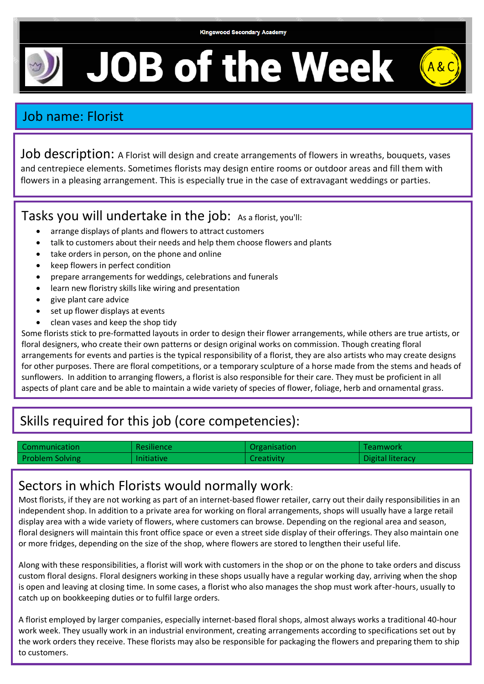**Kingswood Secondary Academy** 

**JOB of the Week** 

## Job name: Florist

Job description: A Florist will design and create arrangements of flowers in wreaths, bouquets, vases and centrepiece elements. Sometimes florists may design entire rooms or outdoor areas and fill them with flowers in a pleasing arrangement. This is especially true in the case of extravagant weddings or parties.

#### Tasks you will undertake in the job: As a florist, you'll:

- arrange displays of plants and flowers to attract customers
- talk to customers about their needs and help them choose flowers and plants
- take orders in person, on the phone and online
- keep flowers in perfect condition
- prepare arrangements for weddings, celebrations and funerals
- learn new floristry skills like wiring and presentation
- give plant care advice
- set up flower displays at events
- clean vases and keep the shop tidy

Some florists stick to pre-formatted layouts in order to design their flower arrangements, while others are true artists, or floral designers, who create their own patterns or design original works on commission. Though creating floral arrangements for events and parties is the typical responsibility of a florist, they are also artists who may create designs for other purposes. There are floral competitions, or a temporary sculpture of a horse made from the stems and heads of sunflowers. In addition to arranging flowers, a florist is also responsible for their care. They must be proficient in all aspects of plant care and be able to maintain a wide variety of species of flower, foliage, herb and ornamental grass.

# Skills required for this job (core competencies):

| Communication   | Resilience        | Organisation | Feamwork         |
|-----------------|-------------------|--------------|------------------|
| Problem Solving | <b>Initiative</b> | Creativity   | Digital literacy |

### Sectors in which Florists would normally work:

Most florists, if they are not working as part of an internet-based flower retailer, carry out their daily responsibilities in an independent shop. In addition to a private area for working on floral arrangements, shops will usually have a large retail display area with a wide variety of flowers, where customers can browse. Depending on the regional area and season, floral designers will maintain this front office space or even a street side display of their offerings. They also maintain one or more fridges, depending on the size of the shop, where flowers are stored to lengthen their useful life.

Along with these responsibilities, a florist will work with customers in the shop or on the phone to take orders and discuss custom floral designs. Floral designers working in these shops usually have a regular working day, arriving when the shop is open and leaving at closing time. In some cases, a florist who also manages the shop must work after-hours, usually to catch up on bookkeeping duties or to fulfil large orders.

A florist employed by larger companies, especially internet-based floral shops, almost always works a traditional 40-hour work week. They usually work in an industrial environment, creating arrangements according to specifications set out by the work orders they receive. These florists may also be responsible for packaging the flowers and preparing them to ship to customers.